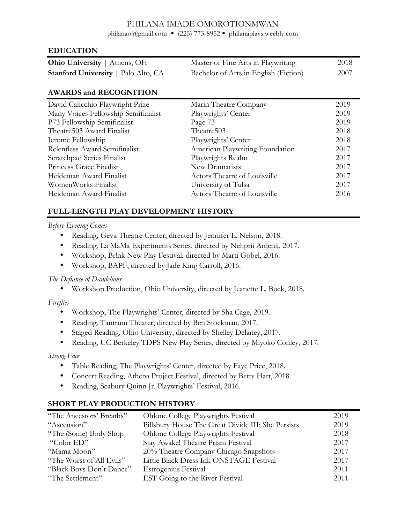### PHILANA IMADE OMOROTIONMWAN

philanao@gmail.com = (225) 773-8952 = philanaplays.weebly.com

### **EDUCATION**

| <b>Ohio University</b>   Athens, OH        | Master of Fine Arts in Playwriting    | 2018 |
|--------------------------------------------|---------------------------------------|------|
| <b>Stanford University</b>   Palo Alto, CA | Bachelor of Arts in English (Fiction) | 2007 |

## **AWARDS and RECOGNITION**

| David Calicchio Playwright Prize    | Marin Theatre Company           | 2019 |
|-------------------------------------|---------------------------------|------|
| Many Voices Fellowship Semifinalist | Playwrights' Center             | 2019 |
| P73 Fellowship Semifinalist         | Page 73                         | 2019 |
| Theatre 503 Award Finalist          | Theatre <sub>503</sub>          | 2018 |
| Jerome Fellowship                   | Playwrights' Center             | 2018 |
| Relentless Award Semifinalist       | American Playwriting Foundation | 2017 |
| Scratchpad Series Finalist          | Playwrights Realm               | 2017 |
| Princess Grace Finalist             | New Dramatists                  | 2017 |
| Heideman Award Finalist             | Actors Theatre of Louisville    | 2017 |
| WomenWorks Finalist                 | University of Tulsa             | 2017 |
| Heideman Award Finalist             | Actors Theatre of Louisville    | 2016 |

### **FULL-LENGTH PLAY DEVELOPMENT HISTORY**

#### *Before Evening Comes*

- Reading, Geva Theatre Center, directed by Jennifer L. Nelson, 2018.
- Reading, La MaMa Experiments Series, directed by Nehprii Amenii, 2017.
- Workshop, Br!nk New Play Festival, directed by Marti Gobel, 2016.
- Workshop, BAPF, directed by Jade King Carroll, 2016.

#### *The Defiance of Dandelions*

• Workshop Production, Ohio University, directed by Jeanette L. Buck, 2018.

#### *Fireflies*

- Workshop, The Playwrights' Center, directed by Sha Cage, 2019.
- Reading, Tantrum Theater, directed by Ben Stockman, 2017.
- Staged Reading, Ohio University, directed by Shelley Delaney, 2017.
- Reading, UC Berkeley TDPS New Play Series, directed by Miyoko Conley, 2017.

#### *Strong Face*

- Table Reading, The Playwrights' Center, directed by Faye Price, 2018.
- Concert Reading, Athena Project Festival, directed by Betty Hart, 2018.
- Reading, Seabury Quinn Jr. Playwrights' Festival, 2016.

## **SHORT PLAY PRODUCTION HISTORY**

| "The Ancestors' Breaths" | Ohlone College Playwrights Festival                | 2019 |
|--------------------------|----------------------------------------------------|------|
| "Ascension"              | Pillsbury House The Great Divide III: She Persists | 2019 |
| "The (Some) Body Shop    | Ohlone College Playwrights Festival                | 2018 |
| "Color ED"               | Stay Awake! Theatre Prism Festival                 | 2017 |
| "Mama Moon"              | 20% Theatre Company Chicago Snapshots              | 2017 |
| "The Worst of All Evils" | Little Black Dress Ink ONSTAGE Festival            | 2017 |
| "Black Boys Don't Dance" | Estrogenius Festival                               | 2011 |
| "The Settlement"         | EST Going to the River Festival                    | 2011 |